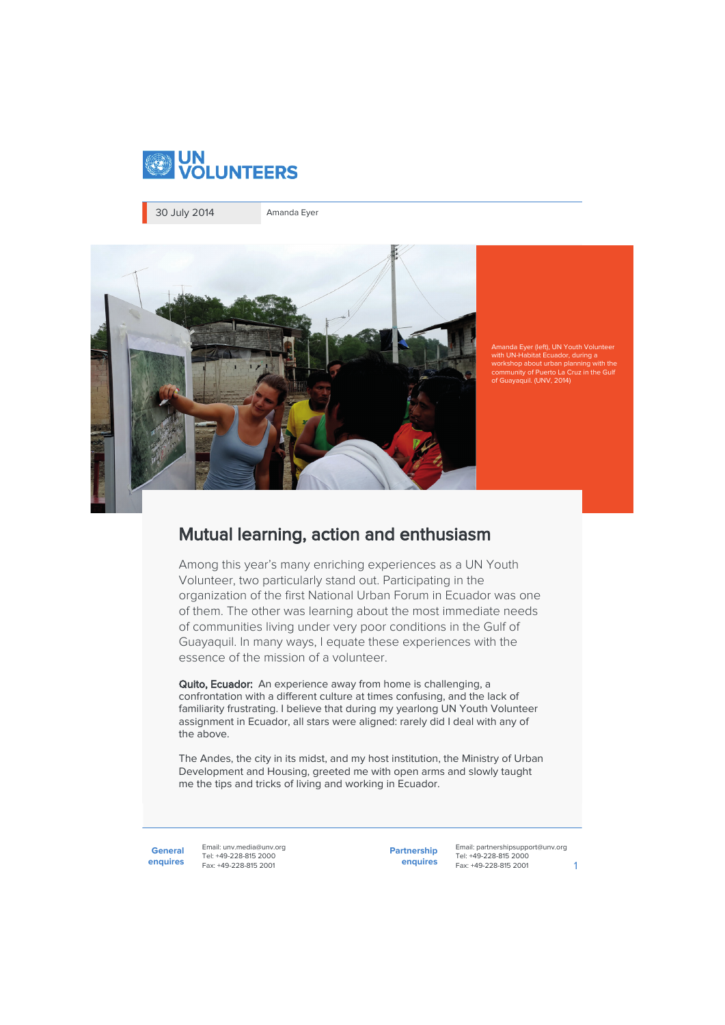

30 July 2014 Amanda Eyer



Amanda Eyer (left), UN Youth Volunteer br, during a kshop about urban pla community of Puerto La Cruz in the Gulf of Guayaquil. (UNV, 2014)

## Mutual learning, action and enthusiasm

Among this year's many enriching experiences as a UN Youth Volunteer, two particularly stand out. Participating in the organization of the first National Urban Forum in Ecuador was one of them. The other was learning about the most immediate needs of communities living under very poor conditions in the Gulf of Guayaquil. In many ways, I equate these experiences with the essence of the mission of a volunteer.

Quito, Ecuador: An experience away from home is challenging, a confrontation with a different culture at times confusing, and the lack of familiarity frustrating. I believe that during my yearlong UN Youth Volunteer assignment in Ecuador, all stars were aligned: rarely did I deal with any of the above.

The Andes, the city in its midst, and my host institution, the Ministry of Urban Development and Housing, greeted me with open arms and slowly taught me the tips and tricks of living and working in Ecuador.

**General enquires**

Email: unv.media@unv.org Tel: +49-228-815 2000 Fax: +49-228-815 2001

**Partnership enquires**

Email: partnershipsupport@unv.org Tel: +49-228-815 2000 Fax: +49-228-815 2001 1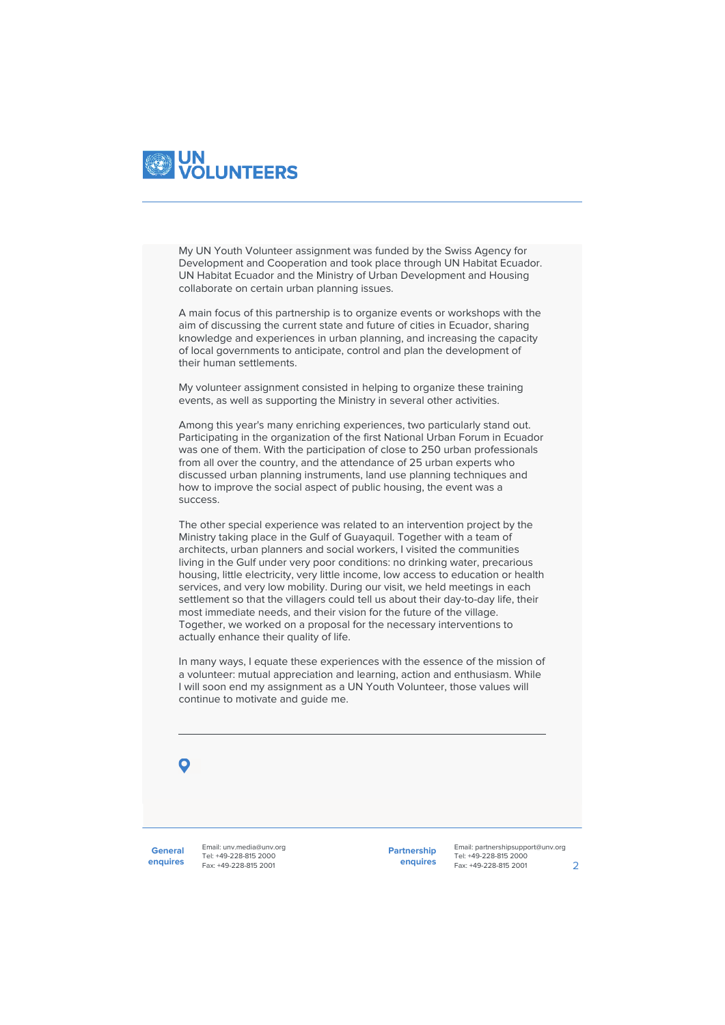

My UN Youth Volunteer assignment was funded by the Swiss Agency for Development and Cooperation and took place through UN Habitat Ecuador. UN Habitat Ecuador and the Ministry of Urban Development and Housing collaborate on certain urban planning issues.

A main focus of this partnership is to organize events or workshops with the aim of discussing the current state and future of cities in Ecuador, sharing knowledge and experiences in urban planning, and increasing the capacity of local governments to anticipate, control and plan the development of their human settlements.

My volunteer assignment consisted in helping to organize these training events, as well as supporting the Ministry in several other activities.

Among this year's many enriching experiences, two particularly stand out. Participating in the organization of the first National Urban Forum in Ecuador was one of them. With the participation of close to 250 urban professionals from all over the country, and the attendance of 25 urban experts who discussed urban planning instruments, land use planning techniques and how to improve the social aspect of public housing, the event was a success.

The other special experience was related to an intervention project by the Ministry taking place in the Gulf of Guayaquil. Together with a team of architects, urban planners and social workers, I visited the communities living in the Gulf under very poor conditions: no drinking water, precarious housing, little electricity, very little income, low access to education or health services, and very low mobility. During our visit, we held meetings in each settlement so that the villagers could tell us about their day-to-day life, their most immediate needs, and their vision for the future of the village. Together, we worked on a proposal for the necessary interventions to actually enhance their quality of life.

In many ways, I equate these experiences with the essence of the mission of a volunteer: mutual appreciation and learning, action and enthusiasm. While I will soon end my assignment as a UN Youth Volunteer, those values will continue to motivate and guide me.



**General enquires**

Email: unv.media@unv.org Tel: +49-228-815 2000 Fax: +49-228-815 2001

**Partnership enquires**

Email: partnershipsupport@unv.org Tel: +49-228-815 2000 Fax: +49-228-815 2001 2